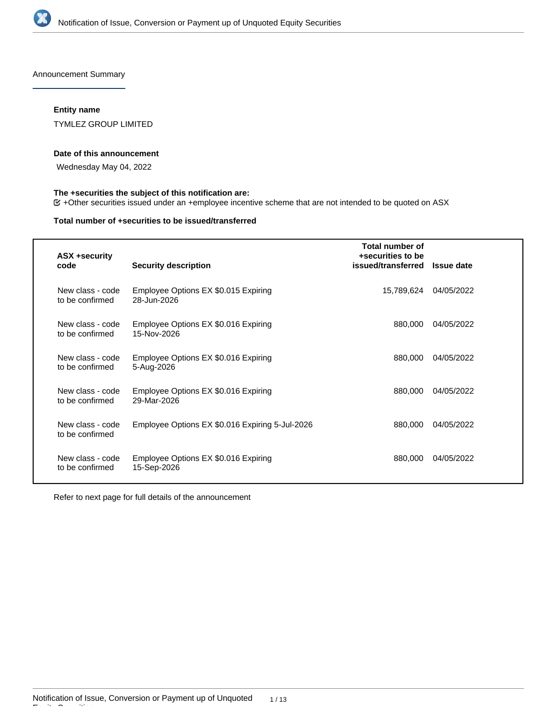

Announcement Summary

# **Entity name**

TYMLEZ GROUP LIMITED

#### **Date of this announcement**

Wednesday May 04, 2022

# **The +securities the subject of this notification are:**

+Other securities issued under an +employee incentive scheme that are not intended to be quoted on ASX

### **Total number of +securities to be issued/transferred**

| <b>ASX +security</b><br>code        | <b>Security description</b>                         | Total number of<br>+securities to be<br>issued/transferred Issue date |            |
|-------------------------------------|-----------------------------------------------------|-----------------------------------------------------------------------|------------|
| New class - code<br>to be confirmed | Employee Options EX \$0.015 Expiring<br>28-Jun-2026 | 15,789,624                                                            | 04/05/2022 |
| New class - code<br>to be confirmed | Employee Options EX \$0.016 Expiring<br>15-Nov-2026 | 880,000                                                               | 04/05/2022 |
| New class - code<br>to be confirmed | Employee Options EX \$0.016 Expiring<br>5-Aug-2026  | 880,000                                                               | 04/05/2022 |
| New class - code<br>to be confirmed | Employee Options EX \$0.016 Expiring<br>29-Mar-2026 | 880,000                                                               | 04/05/2022 |
| New class - code<br>to be confirmed | Employee Options EX \$0.016 Expiring 5-Jul-2026     | 880,000                                                               | 04/05/2022 |
| New class - code<br>to be confirmed | Employee Options EX \$0.016 Expiring<br>15-Sep-2026 | 880,000                                                               | 04/05/2022 |

Refer to next page for full details of the announcement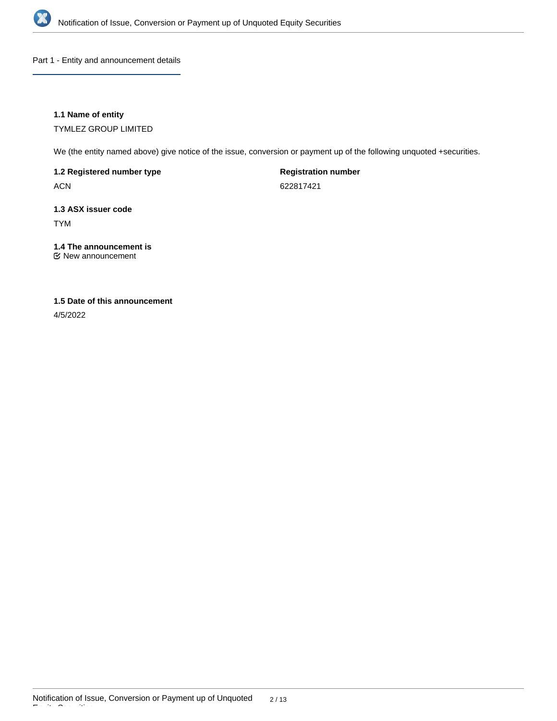

Part 1 - Entity and announcement details

# **1.1 Name of entity**

TYMLEZ GROUP LIMITED

We (the entity named above) give notice of the issue, conversion or payment up of the following unquoted +securities.

# **1.2 Registered number type**

ACN

**Registration number**

622817421

# **1.3 ASX issuer code**

TYM

# **1.4 The announcement is**

New announcement

# **1.5 Date of this announcement**

4/5/2022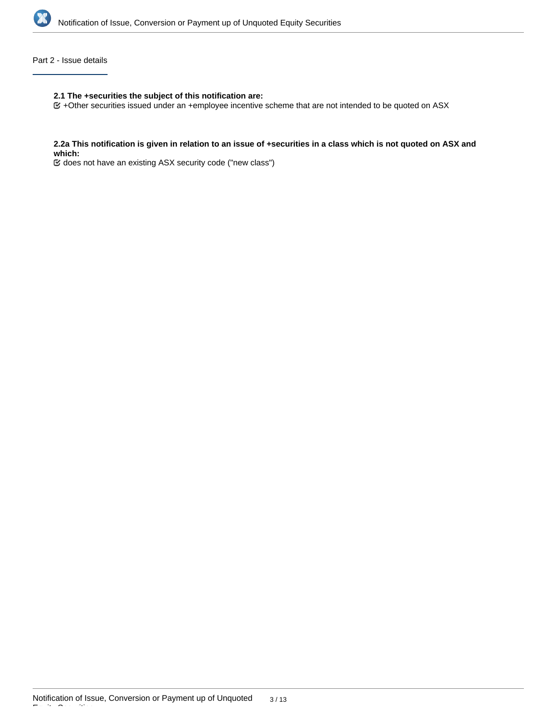

### Part 2 - Issue details

### **2.1 The +securities the subject of this notification are:**

+Other securities issued under an +employee incentive scheme that are not intended to be quoted on ASX

#### **2.2a This notification is given in relation to an issue of +securities in a class which is not quoted on ASX and which:**

does not have an existing ASX security code ("new class")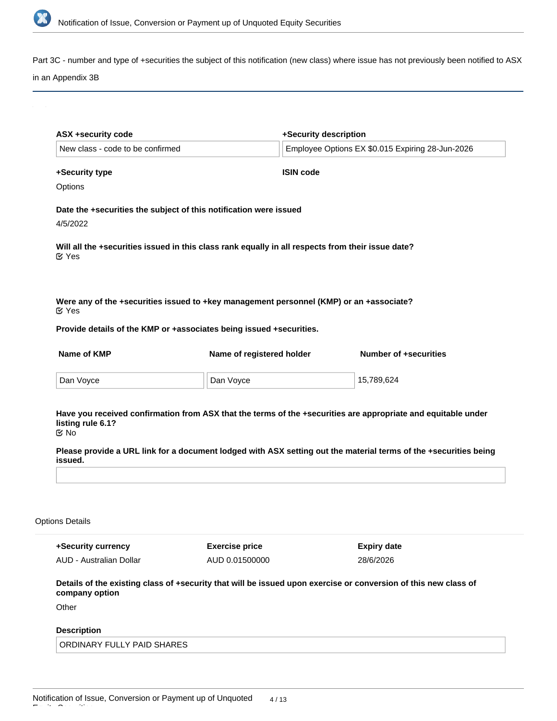

Part 3C - number and type of +securities the subject of this notification (new class) where issue has not previously been notified to ASX

# in an Appendix 3B

| New class - code to be confirmed                                        |                                                                                                                                                                | +Security description<br>Employee Options EX \$0.015 Expiring 28-Jun-2026                                                                           |  |
|-------------------------------------------------------------------------|----------------------------------------------------------------------------------------------------------------------------------------------------------------|-----------------------------------------------------------------------------------------------------------------------------------------------------|--|
|                                                                         |                                                                                                                                                                |                                                                                                                                                     |  |
| +Security type                                                          | <b>ISIN code</b>                                                                                                                                               |                                                                                                                                                     |  |
| Options                                                                 |                                                                                                                                                                |                                                                                                                                                     |  |
|                                                                         | Date the +securities the subject of this notification were issued                                                                                              |                                                                                                                                                     |  |
| 4/5/2022                                                                |                                                                                                                                                                |                                                                                                                                                     |  |
| $\mathfrak{C}$ Yes                                                      | Will all the +securities issued in this class rank equally in all respects from their issue date?                                                              |                                                                                                                                                     |  |
| $\mathfrak{C}$ Yes                                                      | Were any of the +securities issued to +key management personnel (KMP) or an +associate?<br>Provide details of the KMP or +associates being issued +securities. |                                                                                                                                                     |  |
| Name of KMP                                                             | Name of registered holder                                                                                                                                      | <b>Number of +securities</b>                                                                                                                        |  |
|                                                                         |                                                                                                                                                                |                                                                                                                                                     |  |
| Dan Voyce                                                               | Dan Voyce                                                                                                                                                      | 15,789,624                                                                                                                                          |  |
| listing rule 6.1?<br>$\mathfrak{C}$ No<br>issued.                       |                                                                                                                                                                | Have you received confirmation from ASX that the terms of the +securities are appropriate and equitable under                                       |  |
|                                                                         |                                                                                                                                                                |                                                                                                                                                     |  |
|                                                                         |                                                                                                                                                                |                                                                                                                                                     |  |
| <b>Options Details</b><br>+Security currency<br>AUD - Australian Dollar | <b>Exercise price</b><br>AUD 0.01500000                                                                                                                        | Please provide a URL link for a document lodged with ASX setting out the material terms of the +securities being<br><b>Expiry date</b><br>28/6/2026 |  |
| company option                                                          |                                                                                                                                                                | Details of the existing class of +security that will be issued upon exercise or conversion of this new class of                                     |  |
|                                                                         |                                                                                                                                                                |                                                                                                                                                     |  |
| Other<br><b>Description</b>                                             |                                                                                                                                                                |                                                                                                                                                     |  |

**Please provide a URL link for a document lodged with ASX detailing the terms of the +employee incentive scheme**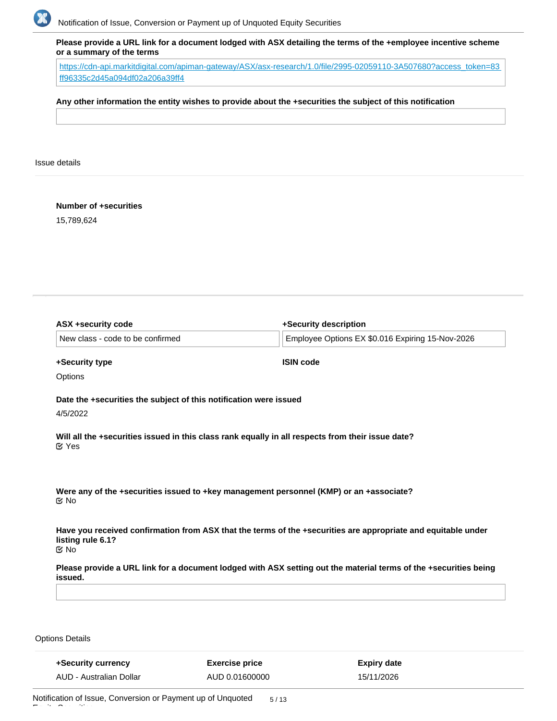

**Please provide a URL link for a document lodged with ASX detailing the terms of the +employee incentive scheme or a summary of the terms**

[https://cdn-api.markitdigital.com/apiman-gateway/ASX/asx-research/1.0/file/2995-02059110-3A507680?access\\_token=83](https://cdn-api.markitdigital.com/apiman-gateway/ASX/asx-research/1.0/file/2995-02059110-3A507680?access_token=83ff96335c2d45a094df02a206a39ff4) [ff96335c2d45a094df02a206a39ff4](https://cdn-api.markitdigital.com/apiman-gateway/ASX/asx-research/1.0/file/2995-02059110-3A507680?access_token=83ff96335c2d45a094df02a206a39ff4)

### **Any other information the entity wishes to provide about the +securities the subject of this notification**

Issue details

**Number of +securities**

15,789,624

| <b>ASX +security code</b>              |                                                                                                   | +Security description                                                                                            |
|----------------------------------------|---------------------------------------------------------------------------------------------------|------------------------------------------------------------------------------------------------------------------|
| New class - code to be confirmed       |                                                                                                   | Employee Options EX \$0.016 Expiring 15-Nov-2026                                                                 |
| +Security type                         | <b>ISIN code</b>                                                                                  |                                                                                                                  |
| Options                                |                                                                                                   |                                                                                                                  |
|                                        | Date the +securities the subject of this notification were issued                                 |                                                                                                                  |
| 4/5/2022                               |                                                                                                   |                                                                                                                  |
| $\mathfrak{C}$ Yes                     | Will all the +securities issued in this class rank equally in all respects from their issue date? |                                                                                                                  |
| $\mathfrak{C}$ No                      | Were any of the +securities issued to +key management personnel (KMP) or an +associate?           |                                                                                                                  |
| listing rule 6.1?<br>$\mathfrak{C}$ No |                                                                                                   | Have you received confirmation from ASX that the terms of the +securities are appropriate and equitable under    |
| issued.                                |                                                                                                   | Please provide a URL link for a document lodged with ASX setting out the material terms of the +securities being |
|                                        |                                                                                                   |                                                                                                                  |
|                                        |                                                                                                   |                                                                                                                  |
| <b>Options Details</b>                 |                                                                                                   |                                                                                                                  |
| +Security currency                     | <b>Exercise price</b>                                                                             | <b>Expiry date</b>                                                                                               |

15/11/2026

AUD 0.01600000

Equity Securities

AUD - Australian Dollar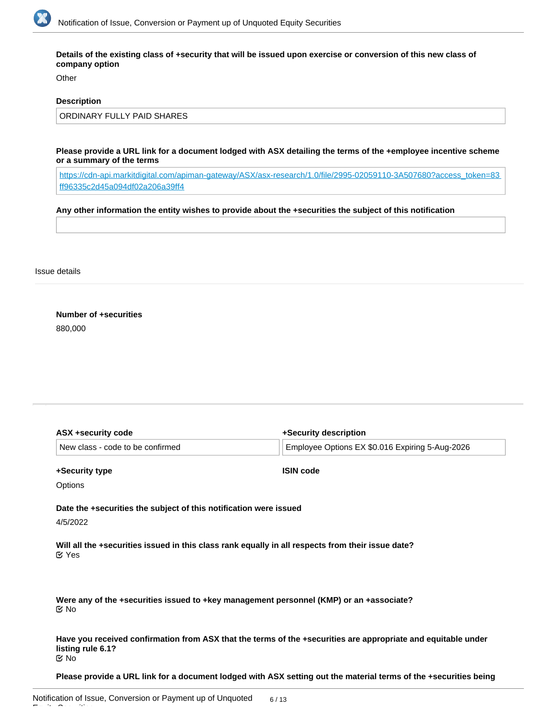

**Details of the existing class of +security that will be issued upon exercise or conversion of this new class of company option**

Other

### **Description**

ORDINARY FULLY PAID SHARES

**Please provide a URL link for a document lodged with ASX detailing the terms of the +employee incentive scheme or a summary of the terms**

[https://cdn-api.markitdigital.com/apiman-gateway/ASX/asx-research/1.0/file/2995-02059110-3A507680?access\\_token=83](https://cdn-api.markitdigital.com/apiman-gateway/ASX/asx-research/1.0/file/2995-02059110-3A507680?access_token=83ff96335c2d45a094df02a206a39ff4) [ff96335c2d45a094df02a206a39ff4](https://cdn-api.markitdigital.com/apiman-gateway/ASX/asx-research/1.0/file/2995-02059110-3A507680?access_token=83ff96335c2d45a094df02a206a39ff4)

# **Any other information the entity wishes to provide about the +securities the subject of this notification**

Issue details

**Number of +securities** 880,000

| ASX +security code                                                | +Security description                                                                                         |
|-------------------------------------------------------------------|---------------------------------------------------------------------------------------------------------------|
| New class - code to be confirmed                                  | Employee Options EX \$0.016 Expiring 5-Aug-2026                                                               |
| +Security type                                                    | <b>ISIN code</b>                                                                                              |
| Options                                                           |                                                                                                               |
| Date the +securities the subject of this notification were issued |                                                                                                               |
| 4/5/2022                                                          |                                                                                                               |
| $\alpha$ Yes                                                      | Will all the +securities issued in this class rank equally in all respects from their issue date?             |
| $\propto$ No                                                      | Were any of the +securities issued to +key management personnel (KMP) or an +associate?                       |
| listing rule 6.1?<br>় No                                         | Have you received confirmation from ASX that the terms of the +securities are appropriate and equitable under |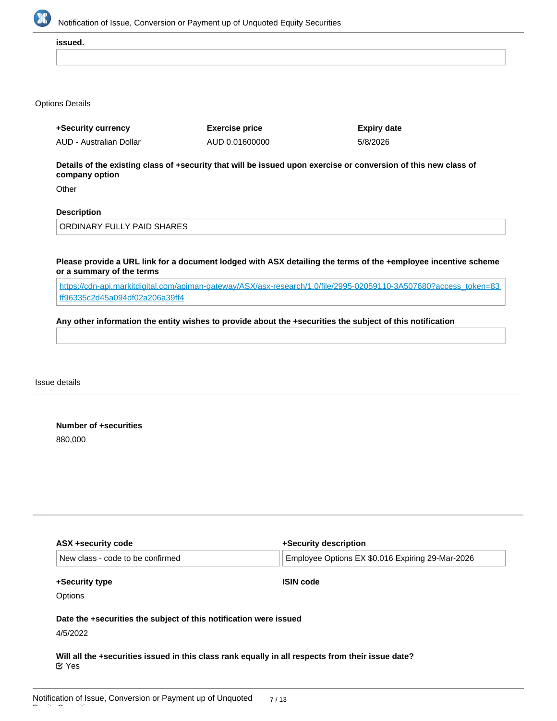

**issued.**

#### Options Details

| +Security currency      | <b>Exercise price</b> | Expiry date |
|-------------------------|-----------------------|-------------|
| AUD - Australian Dollar | AUD 0.01600000        | 5/8/2026    |

**Details of the existing class of +security that will be issued upon exercise or conversion of this new class of company option**

**Other** 

# **Description**

ORDINARY FULLY PAID SHARES

**Please provide a URL link for a document lodged with ASX detailing the terms of the +employee incentive scheme or a summary of the terms**

[https://cdn-api.markitdigital.com/apiman-gateway/ASX/asx-research/1.0/file/2995-02059110-3A507680?access\\_token=83](https://cdn-api.markitdigital.com/apiman-gateway/ASX/asx-research/1.0/file/2995-02059110-3A507680?access_token=83ff96335c2d45a094df02a206a39ff4) [ff96335c2d45a094df02a206a39ff4](https://cdn-api.markitdigital.com/apiman-gateway/ASX/asx-research/1.0/file/2995-02059110-3A507680?access_token=83ff96335c2d45a094df02a206a39ff4)

#### **Any other information the entity wishes to provide about the +securities the subject of this notification**

Issue details

**Number of +securities** 880,000

| ASX +security code                                                | +Security description                            |
|-------------------------------------------------------------------|--------------------------------------------------|
| New class - code to be confirmed                                  | Employee Options EX \$0.016 Expiring 29-Mar-2026 |
| +Security type                                                    | <b>ISIN code</b>                                 |
| <b>Options</b>                                                    |                                                  |
|                                                                   |                                                  |
| Date the +securities the subject of this notification were issued |                                                  |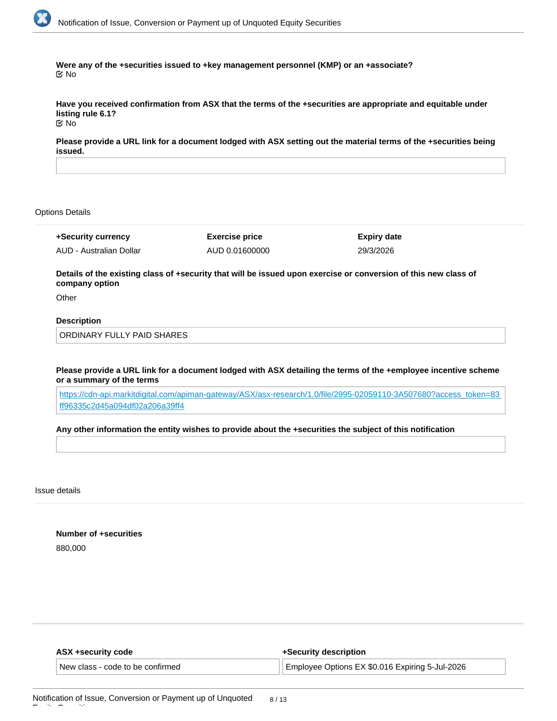

**Were any of the +securities issued to +key management personnel (KMP) or an +associate?** No

**Have you received confirmation from ASX that the terms of the +securities are appropriate and equitable under listing rule 6.1?** No

**Please provide a URL link for a document lodged with ASX setting out the material terms of the +securities being issued.**

#### Options Details

**+Security currency** AUD - Australian Dollar **Exercise price** AUD 0.01600000 **Expiry date** 29/3/2026

**Details of the existing class of +security that will be issued upon exercise or conversion of this new class of company option**

**Other** 

### **Description**

ORDINARY FULLY PAID SHARES

**Please provide a URL link for a document lodged with ASX detailing the terms of the +employee incentive scheme or a summary of the terms**

[https://cdn-api.markitdigital.com/apiman-gateway/ASX/asx-research/1.0/file/2995-02059110-3A507680?access\\_token=83](https://cdn-api.markitdigital.com/apiman-gateway/ASX/asx-research/1.0/file/2995-02059110-3A507680?access_token=83ff96335c2d45a094df02a206a39ff4) [ff96335c2d45a094df02a206a39ff4](https://cdn-api.markitdigital.com/apiman-gateway/ASX/asx-research/1.0/file/2995-02059110-3A507680?access_token=83ff96335c2d45a094df02a206a39ff4)

#### **Any other information the entity wishes to provide about the +securities the subject of this notification**

Issue details

**Number of +securities** 880,000

| ASX +security code               | +Security description                            |
|----------------------------------|--------------------------------------------------|
| New class - code to be confirmed | LEmployee Options EX \$0.016 Expiring 5-Jul-2026 |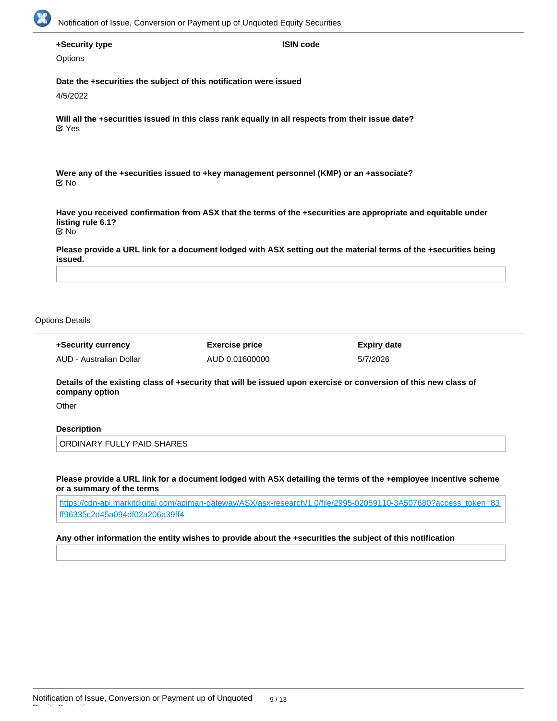

### **+Security type**

**Options** 

**Date the +securities the subject of this notification were issued**

4/5/2022

**Will all the +securities issued in this class rank equally in all respects from their issue date?** Yes

**Were any of the +securities issued to +key management personnel (KMP) or an +associate?** No

**Have you received confirmation from ASX that the terms of the +securities are appropriate and equitable under listing rule 6.1?** No

**ISIN code**

**Please provide a URL link for a document lodged with ASX setting out the material terms of the +securities being issued.**

#### Options Details

| +Security currency      | <b>Exercise price</b> | Expiry date |
|-------------------------|-----------------------|-------------|
| AUD - Australian Dollar | AUD 0.01600000        | 5/7/2026    |

**Details of the existing class of +security that will be issued upon exercise or conversion of this new class of company option**

**Other** 

Equity Securities

#### **Description**

ORDINARY FULLY PAID SHARES

**Please provide a URL link for a document lodged with ASX detailing the terms of the +employee incentive scheme or a summary of the terms**

[https://cdn-api.markitdigital.com/apiman-gateway/ASX/asx-research/1.0/file/2995-02059110-3A507680?access\\_token=83](https://cdn-api.markitdigital.com/apiman-gateway/ASX/asx-research/1.0/file/2995-02059110-3A507680?access_token=83ff96335c2d45a094df02a206a39ff4) [ff96335c2d45a094df02a206a39ff4](https://cdn-api.markitdigital.com/apiman-gateway/ASX/asx-research/1.0/file/2995-02059110-3A507680?access_token=83ff96335c2d45a094df02a206a39ff4)

#### **Any other information the entity wishes to provide about the +securities the subject of this notification**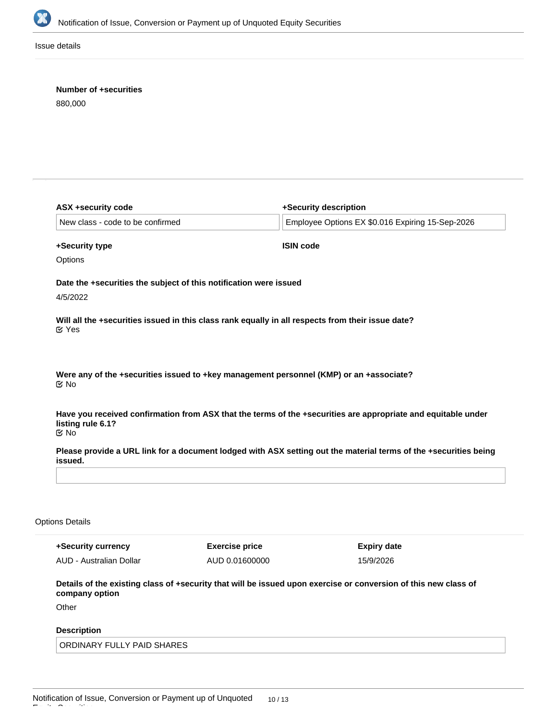

Issue details

# **Number of +securities**

880,000

|                                                                          |                                                                                                   | +Security description                                                                                                                  |  |
|--------------------------------------------------------------------------|---------------------------------------------------------------------------------------------------|----------------------------------------------------------------------------------------------------------------------------------------|--|
| New class - code to be confirmed                                         |                                                                                                   | Employee Options EX \$0.016 Expiring 15-Sep-2026                                                                                       |  |
| +Security type                                                           |                                                                                                   | <b>ISIN code</b>                                                                                                                       |  |
| Options                                                                  |                                                                                                   |                                                                                                                                        |  |
|                                                                          | Date the +securities the subject of this notification were issued                                 |                                                                                                                                        |  |
| 4/5/2022                                                                 |                                                                                                   |                                                                                                                                        |  |
| <b>⊘</b> Yes                                                             | Will all the +securities issued in this class rank equally in all respects from their issue date? |                                                                                                                                        |  |
| ় No                                                                     | Were any of the +securities issued to +key management personnel (KMP) or an +associate?           |                                                                                                                                        |  |
|                                                                          |                                                                                                   | Have you received confirmation from ASX that the terms of the +securities are appropriate and equitable under                          |  |
|                                                                          |                                                                                                   |                                                                                                                                        |  |
|                                                                          |                                                                                                   |                                                                                                                                        |  |
| listing rule 6.1?<br>$\mathfrak{C}$ No<br>issued.                        |                                                                                                   |                                                                                                                                        |  |
|                                                                          |                                                                                                   |                                                                                                                                        |  |
|                                                                          |                                                                                                   |                                                                                                                                        |  |
| <b>Options Details</b><br>+Security currency                             | <b>Exercise price</b>                                                                             | Please provide a URL link for a document lodged with ASX setting out the material terms of the +securities being<br><b>Expiry date</b> |  |
|                                                                          | AUD 0.01600000                                                                                    | 15/9/2026                                                                                                                              |  |
|                                                                          |                                                                                                   | Details of the existing class of +security that will be issued upon exercise or conversion of this new class of                        |  |
|                                                                          |                                                                                                   |                                                                                                                                        |  |
| AUD - Australian Dollar<br>company option<br>Other<br><b>Description</b> |                                                                                                   |                                                                                                                                        |  |

**Please provide a URL link for a document lodged with ASX detailing the terms of the +employee incentive scheme**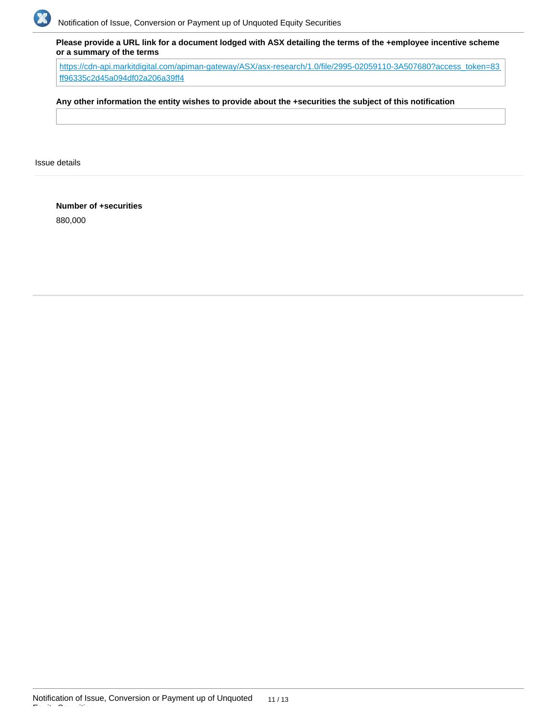

**Please provide a URL link for a document lodged with ASX detailing the terms of the +employee incentive scheme or a summary of the terms**

[https://cdn-api.markitdigital.com/apiman-gateway/ASX/asx-research/1.0/file/2995-02059110-3A507680?access\\_token=83](https://cdn-api.markitdigital.com/apiman-gateway/ASX/asx-research/1.0/file/2995-02059110-3A507680?access_token=83ff96335c2d45a094df02a206a39ff4) [ff96335c2d45a094df02a206a39ff4](https://cdn-api.markitdigital.com/apiman-gateway/ASX/asx-research/1.0/file/2995-02059110-3A507680?access_token=83ff96335c2d45a094df02a206a39ff4)

### **Any other information the entity wishes to provide about the +securities the subject of this notification**

Issue details

**Number of +securities** 880,000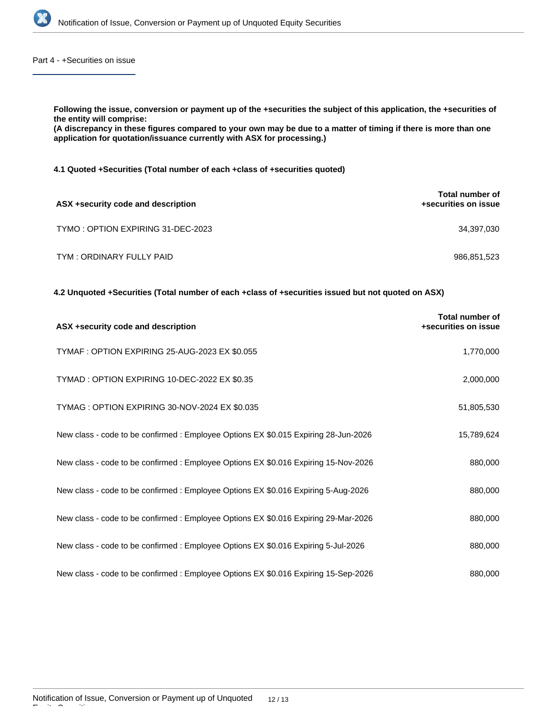

Part 4 - +Securities on issue

**Following the issue, conversion or payment up of the +securities the subject of this application, the +securities of the entity will comprise:**

**(A discrepancy in these figures compared to your own may be due to a matter of timing if there is more than one application for quotation/issuance currently with ASX for processing.)**

**4.1 Quoted +Securities (Total number of each +class of +securities quoted)**

| ASX +security code and description | <b>Total number of</b><br>+securities on issue |
|------------------------------------|------------------------------------------------|
| TYMO: OPTION EXPIRING 31-DEC-2023  | 34,397,030                                     |
| TYM : ORDINARY FULLY PAID          | 986,851,523                                    |

**4.2 Unquoted +Securities (Total number of each +class of +securities issued but not quoted on ASX)**

| ASX +security code and description                                                  | <b>Total number of</b><br>+securities on issue |
|-------------------------------------------------------------------------------------|------------------------------------------------|
| TYMAF : OPTION EXPIRING 25-AUG-2023 EX \$0.055                                      | 1,770,000                                      |
| TYMAD: OPTION EXPIRING 10-DEC-2022 EX \$0.35                                        | 2,000,000                                      |
| TYMAG: OPTION EXPIRING 30-NOV-2024 EX \$0.035                                       | 51,805,530                                     |
| New class - code to be confirmed : Employee Options EX \$0.015 Expiring 28-Jun-2026 | 15,789,624                                     |
| New class - code to be confirmed : Employee Options EX \$0.016 Expiring 15-Nov-2026 | 880,000                                        |
| New class - code to be confirmed: Employee Options EX \$0.016 Expiring 5-Aug-2026   | 880,000                                        |
| New class - code to be confirmed : Employee Options EX \$0.016 Expiring 29-Mar-2026 | 880,000                                        |
| New class - code to be confirmed : Employee Options EX \$0.016 Expiring 5-Jul-2026  | 880,000                                        |
| New class - code to be confirmed : Employee Options EX \$0.016 Expiring 15-Sep-2026 | 880,000                                        |